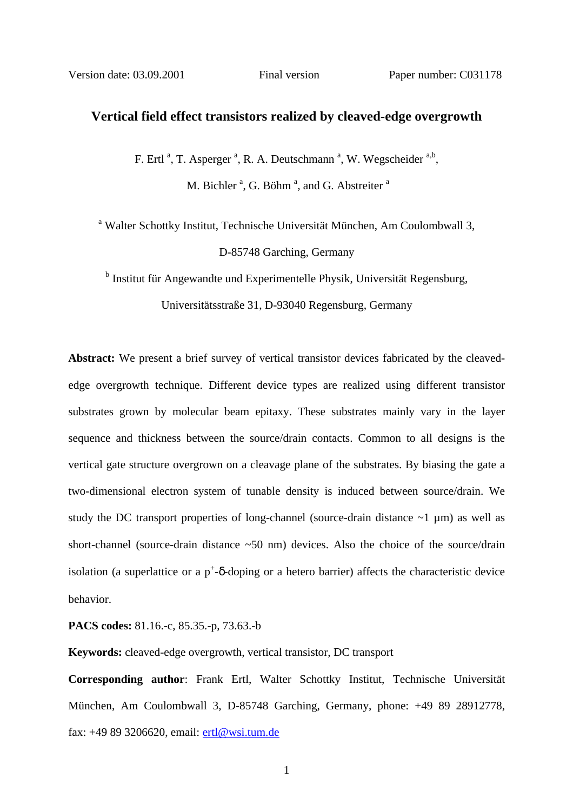## **Vertical field effect transistors realized by cleaved-edge overgrowth**

F. Ertl<sup>a</sup>, T. Asperger<sup>a</sup>, R. A. Deutschmann<sup>a</sup>, W. Wegscheider<sup>a,b</sup>,

M. Bichler<sup>a</sup>, G. Böhm<sup>a</sup>, and G. Abstreiter<sup>a</sup>

<sup>a</sup> Walter Schottky Institut, Technische Universität München, Am Coulombwall 3,

D-85748 Garching, Germany

<sup>b</sup> Institut für Angewandte und Experimentelle Physik, Universität Regensburg,

Universitätsstraße 31, D-93040 Regensburg, Germany

**Abstract:** We present a brief survey of vertical transistor devices fabricated by the cleavededge overgrowth technique. Different device types are realized using different transistor substrates grown by molecular beam epitaxy. These substrates mainly vary in the layer sequence and thickness between the source/drain contacts. Common to all designs is the vertical gate structure overgrown on a cleavage plane of the substrates. By biasing the gate a two-dimensional electron system of tunable density is induced between source/drain. We study the DC transport properties of long-channel (source-drain distance  $\sim$ 1  $\mu$ m) as well as short-channel (source-drain distance ~50 nm) devices. Also the choice of the source/drain isolation (a superlattice or a  $p^+$ -δ-doping or a hetero barrier) affects the characteristic device behavior.

**PACS codes:** 81.16.-c, 85.35.-p, 73.63.-b

**Keywords:** cleaved-edge overgrowth, vertical transistor, DC transport

**Corresponding author**: Frank Ertl, Walter Schottky Institut, Technische Universität München, Am Coulombwall 3, D-85748 Garching, Germany, phone: +49 89 28912778, fax: +49 89 3206620, email: ertl@wsi.tum.de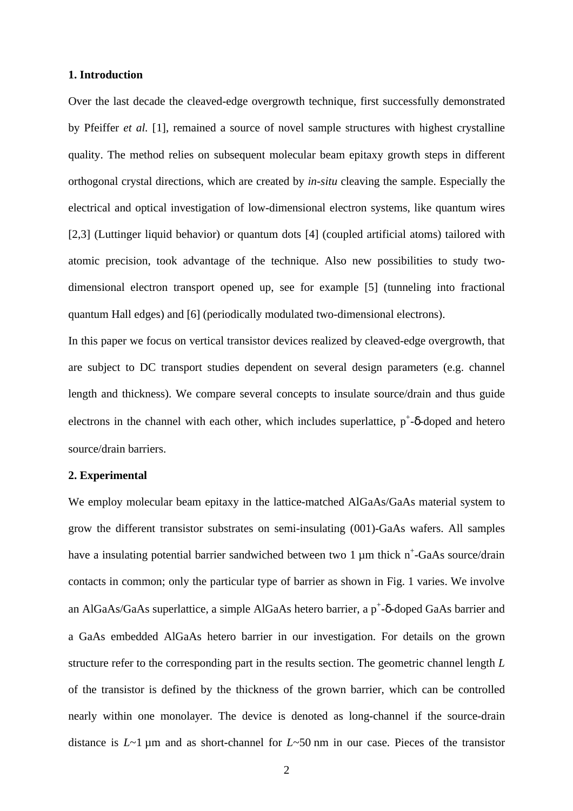### **1. Introduction**

Over the last decade the cleaved-edge overgrowth technique, first successfully demonstrated by Pfeiffer *et al.* [1], remained a source of novel sample structures with highest crystalline quality. The method relies on subsequent molecular beam epitaxy growth steps in different orthogonal crystal directions, which are created by *in-situ* cleaving the sample. Especially the electrical and optical investigation of low-dimensional electron systems, like quantum wires [2,3] (Luttinger liquid behavior) or quantum dots [4] (coupled artificial atoms) tailored with atomic precision, took advantage of the technique. Also new possibilities to study twodimensional electron transport opened up, see for example [5] (tunneling into fractional quantum Hall edges) and [6] (periodically modulated two-dimensional electrons).

In this paper we focus on vertical transistor devices realized by cleaved-edge overgrowth, that are subject to DC transport studies dependent on several design parameters (e.g. channel length and thickness). We compare several concepts to insulate source/drain and thus guide electrons in the channel with each other, which includes superlattice,  $p^+$ -δ-doped and hetero source/drain barriers.

## **2. Experimental**

We employ molecular beam epitaxy in the lattice-matched AlGaAs/GaAs material system to grow the different transistor substrates on semi-insulating (001)-GaAs wafers. All samples have a insulating potential barrier sandwiched between two 1  $\mu$ m thick n<sup>+</sup>-GaAs source/drain contacts in common; only the particular type of barrier as shown in Fig. 1 varies. We involve an AlGaAs/GaAs superlattice, a simple AlGaAs hetero barrier, a  $p^+$ - $\delta$ -doped GaAs barrier and a GaAs embedded AlGaAs hetero barrier in our investigation. For details on the grown structure refer to the corresponding part in the results section. The geometric channel length *L*  of the transistor is defined by the thickness of the grown barrier, which can be controlled nearly within one monolayer. The device is denoted as long-channel if the source-drain distance is *L*~1 µm and as short-channel for *L*~50 nm in our case. Pieces of the transistor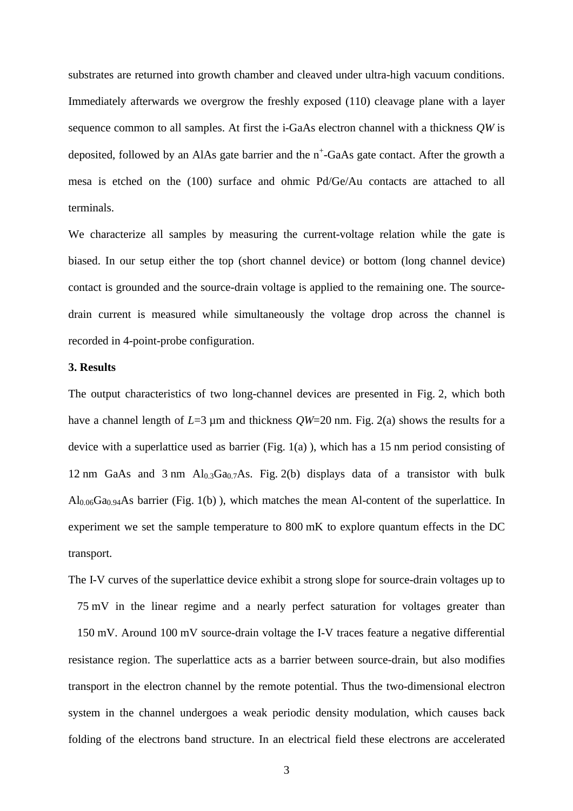substrates are returned into growth chamber and cleaved under ultra-high vacuum conditions. Immediately afterwards we overgrow the freshly exposed (110) cleavage plane with a layer sequence common to all samples. At first the i-GaAs electron channel with a thickness *QW* is deposited, followed by an AlAs gate barrier and the n<sup>+</sup>-GaAs gate contact. After the growth a mesa is etched on the (100) surface and ohmic Pd/Ge/Au contacts are attached to all terminals.

We characterize all samples by measuring the current-voltage relation while the gate is biased. In our setup either the top (short channel device) or bottom (long channel device) contact is grounded and the source-drain voltage is applied to the remaining one. The sourcedrain current is measured while simultaneously the voltage drop across the channel is recorded in 4-point-probe configuration.

### **3. Results**

The output characteristics of two long-channel devices are presented in Fig. 2, which both have a channel length of  $L=3 \mu m$  and thickness  $OW=20 \text{ nm}$ . Fig. 2(a) shows the results for a device with a superlattice used as barrier (Fig. 1(a) ), which has a 15 nm period consisting of 12 nm GaAs and 3 nm  $Al<sub>0.3</sub>Ga<sub>0.7</sub>As. Fig. 2(b) displays data of a transistor with bulk$  $\text{Al}_{0.06}\text{Ga}_{0.94}\text{As barrier (Fig. 1(b))}$ , which matches the mean Al-content of the superlattice. In experiment we set the sample temperature to 800 mK to explore quantum effects in the DC transport.

The I-V curves of the superlattice device exhibit a strong slope for source-drain voltages up to 75 mV in the linear regime and a nearly perfect saturation for voltages greater than 150 mV. Around 100 mV source-drain voltage the I-V traces feature a negative differential resistance region. The superlattice acts as a barrier between source-drain, but also modifies transport in the electron channel by the remote potential. Thus the two-dimensional electron system in the channel undergoes a weak periodic density modulation, which causes back folding of the electrons band structure. In an electrical field these electrons are accelerated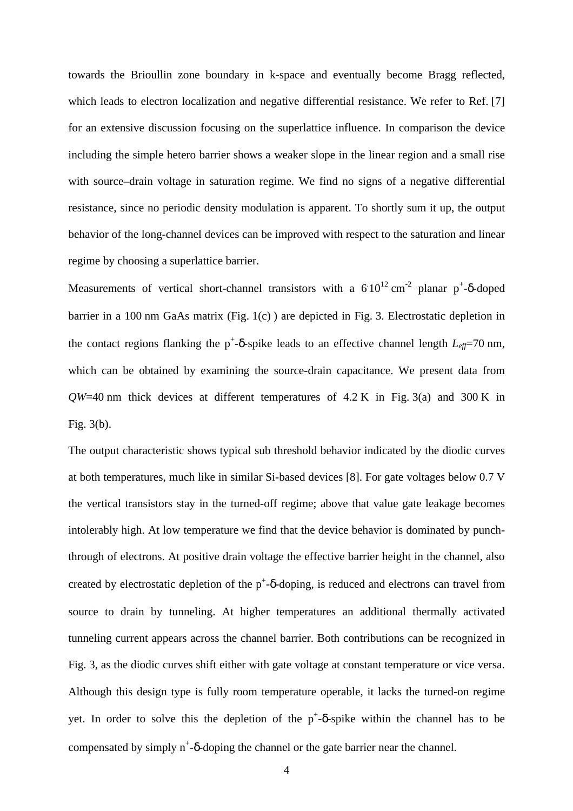towards the Brioullin zone boundary in k-space and eventually become Bragg reflected, which leads to electron localization and negative differential resistance. We refer to Ref. [7] for an extensive discussion focusing on the superlattice influence. In comparison the device including the simple hetero barrier shows a weaker slope in the linear region and a small rise with source–drain voltage in saturation regime. We find no signs of a negative differential resistance, since no periodic density modulation is apparent. To shortly sum it up, the output behavior of the long-channel devices can be improved with respect to the saturation and linear regime by choosing a superlattice barrier.

Measurements of vertical short-channel transistors with a  $610^{12}$  cm<sup>-2</sup> planar p<sup>+</sup>- $\delta$ -doped barrier in a 100 nm GaAs matrix (Fig. 1(c) ) are depicted in Fig. 3. Electrostatic depletion in the contact regions flanking the  $p^+$ -δ-spike leads to an effective channel length  $L_{\text{eff}}$ =70 nm, which can be obtained by examining the source-drain capacitance. We present data from  $QW=40$  nm thick devices at different temperatures of  $4.2$  K in Fig. 3(a) and 300 K in Fig. 3(b).

The output characteristic shows typical sub threshold behavior indicated by the diodic curves at both temperatures, much like in similar Si-based devices [8]. For gate voltages below 0.7 V the vertical transistors stay in the turned-off regime; above that value gate leakage becomes intolerably high. At low temperature we find that the device behavior is dominated by punchthrough of electrons. At positive drain voltage the effective barrier height in the channel, also created by electrostatic depletion of the  $p^+$ -δ-doping, is reduced and electrons can travel from source to drain by tunneling. At higher temperatures an additional thermally activated tunneling current appears across the channel barrier. Both contributions can be recognized in Fig. 3, as the diodic curves shift either with gate voltage at constant temperature or vice versa. Although this design type is fully room temperature operable, it lacks the turned-on regime yet. In order to solve this the depletion of the  $p^+$ -δ-spike within the channel has to be compensated by simply  $n^+$ - $\delta$ -doping the channel or the gate barrier near the channel.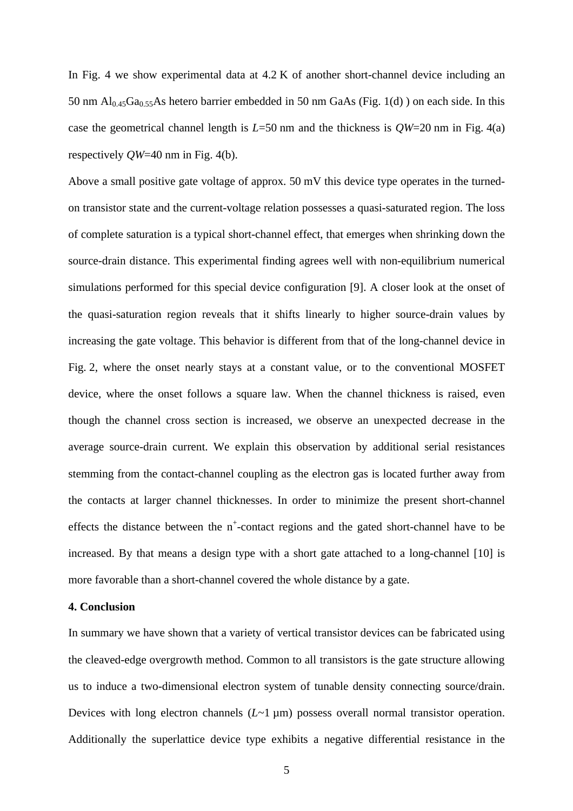In Fig. 4 we show experimental data at  $4.2$  K of another short-channel device including an 50 nm  $Al<sub>0.45</sub>Ga<sub>0.55</sub>As hetero barrier embedded in 50 nm GaAs (Fig. 1(d)) on each side. In this$ case the geometrical channel length is  $L=50$  nm and the thickness is  $QW=20$  nm in Fig. 4(a) respectively *QW*=40 nm in Fig. 4(b).

Above a small positive gate voltage of approx. 50 mV this device type operates in the turnedon transistor state and the current-voltage relation possesses a quasi-saturated region. The loss of complete saturation is a typical short-channel effect, that emerges when shrinking down the source-drain distance. This experimental finding agrees well with non-equilibrium numerical simulations performed for this special device configuration [9]. A closer look at the onset of the quasi-saturation region reveals that it shifts linearly to higher source-drain values by increasing the gate voltage. This behavior is different from that of the long-channel device in Fig. 2, where the onset nearly stays at a constant value, or to the conventional MOSFET device, where the onset follows a square law. When the channel thickness is raised, even though the channel cross section is increased, we observe an unexpected decrease in the average source-drain current. We explain this observation by additional serial resistances stemming from the contact-channel coupling as the electron gas is located further away from the contacts at larger channel thicknesses. In order to minimize the present short-channel effects the distance between the  $n^+$ -contact regions and the gated short-channel have to be increased. By that means a design type with a short gate attached to a long-channel [10] is more favorable than a short-channel covered the whole distance by a gate.

## **4. Conclusion**

In summary we have shown that a variety of vertical transistor devices can be fabricated using the cleaved-edge overgrowth method. Common to all transistors is the gate structure allowing us to induce a two-dimensional electron system of tunable density connecting source/drain. Devices with long electron channels (*L*~1 µm) possess overall normal transistor operation. Additionally the superlattice device type exhibits a negative differential resistance in the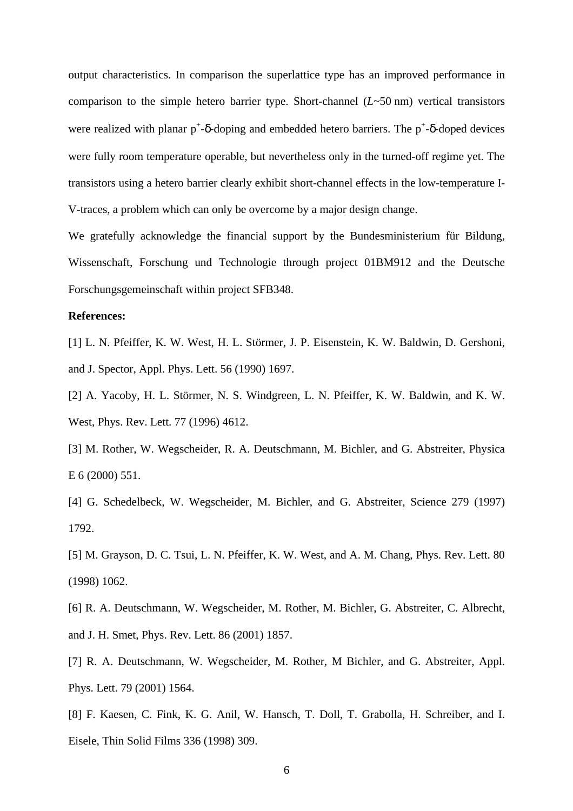output characteristics. In comparison the superlattice type has an improved performance in comparison to the simple hetero barrier type. Short-channel (*L*~50 nm) vertical transistors were realized with planar  $p^+$ -δ-doping and embedded hetero barriers. The  $p^+$ -δ-doped devices were fully room temperature operable, but nevertheless only in the turned-off regime yet. The transistors using a hetero barrier clearly exhibit short-channel effects in the low-temperature I-V-traces, a problem which can only be overcome by a major design change.

We gratefully acknowledge the financial support by the Bundesministerium für Bildung, Wissenschaft, Forschung und Technologie through project 01BM912 and the Deutsche Forschungsgemeinschaft within project SFB348.

# **References:**

[1] L. N. Pfeiffer, K. W. West, H. L. Störmer, J. P. Eisenstein, K. W. Baldwin, D. Gershoni, and J. Spector, Appl. Phys. Lett. 56 (1990) 1697.

[2] A. Yacoby, H. L. Störmer, N. S. Windgreen, L. N. Pfeiffer, K. W. Baldwin, and K. W. West, Phys. Rev. Lett. 77 (1996) 4612.

[3] M. Rother, W. Wegscheider, R. A. Deutschmann, M. Bichler, and G. Abstreiter, Physica E 6 (2000) 551.

[4] G. Schedelbeck, W. Wegscheider, M. Bichler, and G. Abstreiter, Science 279 (1997) 1792.

[5] M. Grayson, D. C. Tsui, L. N. Pfeiffer, K. W. West, and A. M. Chang, Phys. Rev. Lett. 80 (1998) 1062.

[6] R. A. Deutschmann, W. Wegscheider, M. Rother, M. Bichler, G. Abstreiter, C. Albrecht, and J. H. Smet, Phys. Rev. Lett. 86 (2001) 1857.

[7] R. A. Deutschmann, W. Wegscheider, M. Rother, M. Bichler, and G. Abstreiter, Appl. Phys. Lett. 79 (2001) 1564.

[8] F. Kaesen, C. Fink, K. G. Anil, W. Hansch, T. Doll, T. Grabolla, H. Schreiber, and I. Eisele, Thin Solid Films 336 (1998) 309.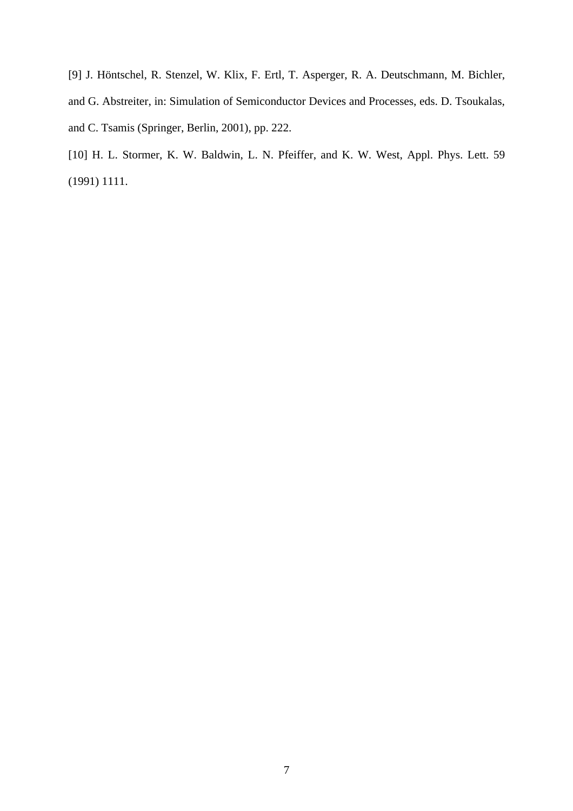[9] J. Höntschel, R. Stenzel, W. Klix, F. Ertl, T. Asperger, R. A. Deutschmann, M. Bichler, and G. Abstreiter, in: Simulation of Semiconductor Devices and Processes, eds. D. Tsoukalas, and C. Tsamis (Springer, Berlin, 2001), pp. 222.

[10] H. L. Stormer, K. W. Baldwin, L. N. Pfeiffer, and K. W. West, Appl. Phys. Lett. 59 (1991) 1111.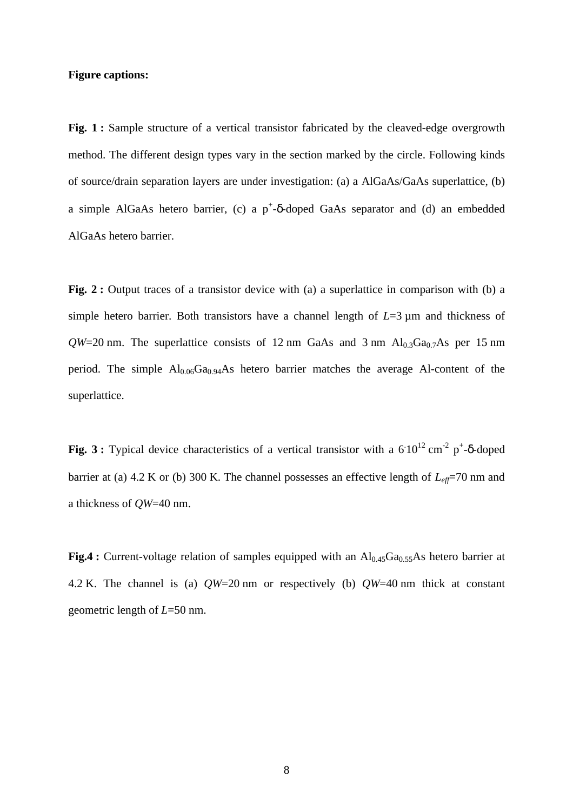#### **Figure captions:**

Fig. 1 **:** Sample structure of a vertical transistor fabricated by the cleaved-edge overgrowth method. The different design types vary in the section marked by the circle. Following kinds of source/drain separation layers are under investigation: (a) a AlGaAs/GaAs superlattice, (b) a simple AlGaAs hetero barrier, (c) a  $p^+$ -δ-doped GaAs separator and (d) an embedded AlGaAs hetero barrier.

Fig. 2 **:** Output traces of a transistor device with (a) a superlattice in comparison with (b) a simple hetero barrier. Both transistors have a channel length of *L*=3 µm and thickness of  $QW=20$  nm. The superlattice consists of 12 nm GaAs and 3 nm  $Al<sub>0.3</sub>Ga<sub>0.7</sub>As$  per 15 nm period. The simple  $Al_{0.06}Ga_{0.94}As$  hetero barrier matches the average Al-content of the superlattice.

Fig. 3: Typical device characteristics of a vertical transistor with a  $610^{12}$  cm<sup>-2</sup> p<sup>+</sup>-δ-doped barrier at (a) 4.2 K or (b) 300 K. The channel possesses an effective length of *Leff*=70 nm and a thickness of *QW*=40 nm.

**Fig.4 :** Current-voltage relation of samples equipped with an  $Al<sub>0.45</sub>Ga<sub>0.55</sub>As hetero barrier at$ 4.2 K. The channel is (a) *QW*=20 nm or respectively (b) *QW*=40 nm thick at constant geometric length of *L*=50 nm.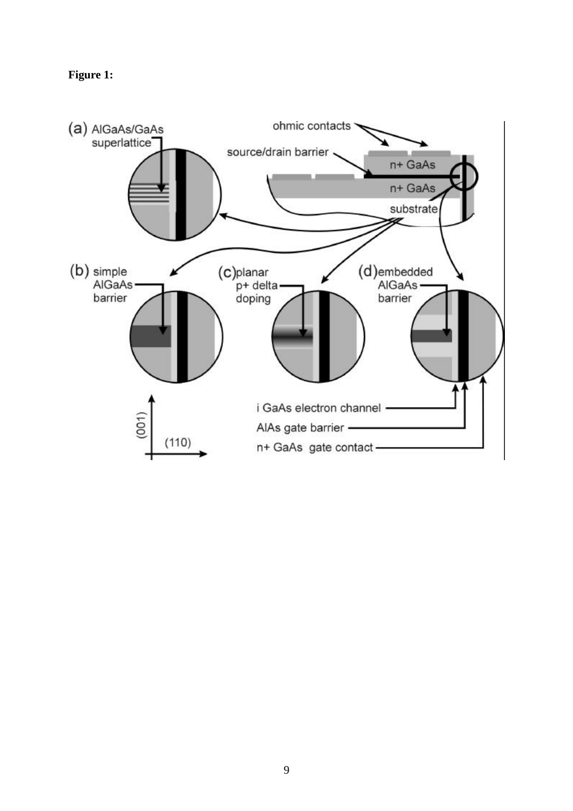# Figure 1:

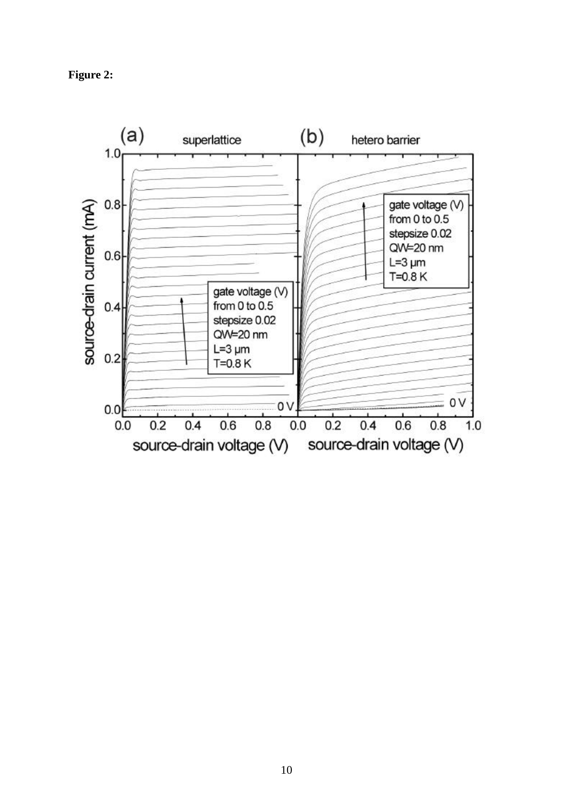Figure 2:

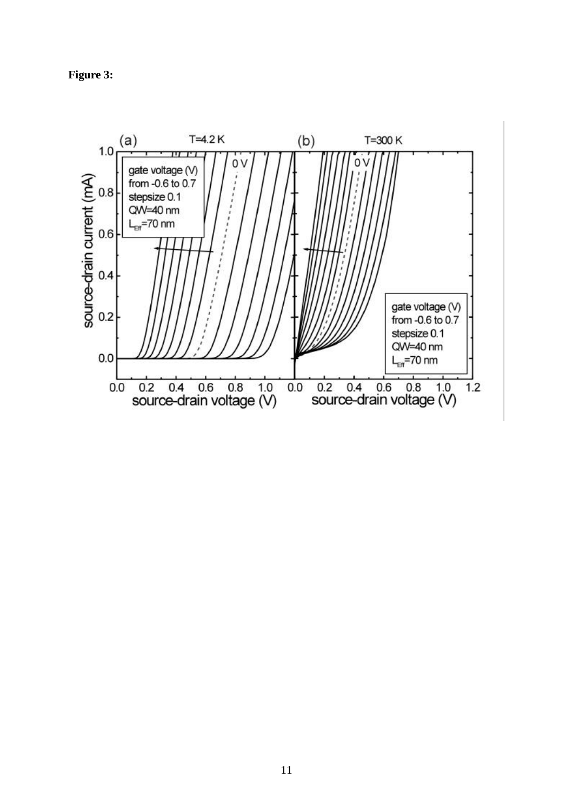Figure 3: